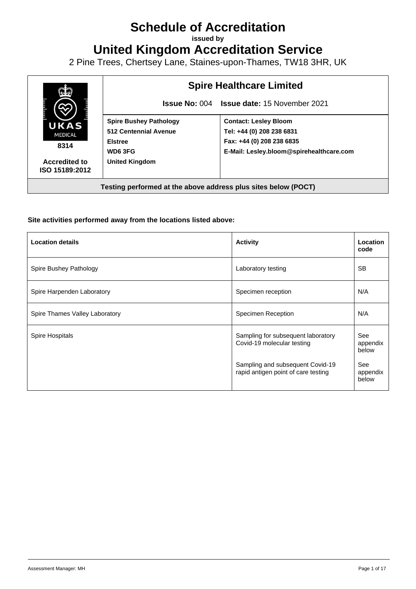## **Schedule of Accreditation**

**issued by**

**United Kingdom Accreditation Service**

2 Pine Trees, Chertsey Lane, Staines-upon-Thames, TW18 3HR, UK



## **Site activities performed away from the locations listed above:**

| <b>Location details</b>        | <b>Activity</b>                                                         | Location<br>code         |
|--------------------------------|-------------------------------------------------------------------------|--------------------------|
| Spire Bushey Pathology         | Laboratory testing                                                      | <b>SB</b>                |
| Spire Harpenden Laboratory     | Specimen reception                                                      | N/A                      |
| Spire Thames Valley Laboratory | Specimen Reception                                                      | N/A                      |
| Spire Hospitals                | Sampling for subsequent laboratory<br>Covid-19 molecular testing        | See<br>appendix<br>below |
|                                | Sampling and subsequent Covid-19<br>rapid antigen point of care testing | See<br>appendix<br>below |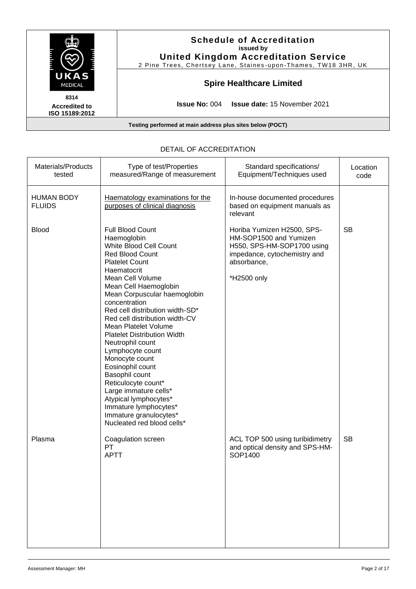|                                                           | <b>Schedule of Accreditation</b><br>issued by<br><b>United Kingdom Accreditation Service</b><br>2 Pine Trees, Chertsey Lane, Staines-upon-Thames, TW18 3HR, UK |  |  |
|-----------------------------------------------------------|----------------------------------------------------------------------------------------------------------------------------------------------------------------|--|--|
| <b>UKAS</b><br><b>MEDICAL</b>                             | <b>Spire Healthcare Limited</b>                                                                                                                                |  |  |
| 8314<br><b>Accredited to</b><br>ISO 15189:2012            | <b>Issue No: 004 Issue date: 15 November 2021</b>                                                                                                              |  |  |
| Testing performed at main address plus sites below (POCT) |                                                                                                                                                                |  |  |

| Materials/Products<br>tested       | Type of test/Properties<br>measured/Range of measurement                                                                                                                                                                                                                                                                                                                                                                                                                                                                                                                                                        | Standard specifications/<br>Equipment/Techniques used                                                                                            | Location<br>code |
|------------------------------------|-----------------------------------------------------------------------------------------------------------------------------------------------------------------------------------------------------------------------------------------------------------------------------------------------------------------------------------------------------------------------------------------------------------------------------------------------------------------------------------------------------------------------------------------------------------------------------------------------------------------|--------------------------------------------------------------------------------------------------------------------------------------------------|------------------|
| <b>HUMAN BODY</b><br><b>FLUIDS</b> | Haematology examinations for the<br>purposes of clinical diagnosis                                                                                                                                                                                                                                                                                                                                                                                                                                                                                                                                              | In-house documented procedures<br>based on equipment manuals as<br>relevant                                                                      |                  |
| <b>Blood</b>                       | Full Blood Count<br>Haemoglobin<br>White Blood Cell Count<br>Red Blood Count<br><b>Platelet Count</b><br>Haematocrit<br>Mean Cell Volume<br>Mean Cell Haemoglobin<br>Mean Corpuscular haemoglobin<br>concentration<br>Red cell distribution width-SD*<br>Red cell distribution width-CV<br>Mean Platelet Volume<br><b>Platelet Distribution Width</b><br>Neutrophil count<br>Lymphocyte count<br>Monocyte count<br>Eosinophil count<br>Basophil count<br>Reticulocyte count*<br>Large immature cells*<br>Atypical lymphocytes*<br>Immature lymphocytes*<br>Immature granulocytes*<br>Nucleated red blood cells* | Horiba Yumizen H2500, SPS-<br>HM-SOP1500 and Yumizen<br>H550, SPS-HM-SOP1700 using<br>impedance, cytochemistry and<br>absorbance,<br>*H2500 only | <b>SB</b>        |
| Plasma                             | Coagulation screen<br>PT<br><b>APTT</b>                                                                                                                                                                                                                                                                                                                                                                                                                                                                                                                                                                         | ACL TOP 500 using turibidimetry<br>and optical density and SPS-HM-<br>SOP1400                                                                    | <b>SB</b>        |

## DETAIL OF ACCREDITATION

 $\top$ 

 $\overline{\mathsf{T}}$ 

 $\Gamma$ 

 $\overline{\mathsf{T}}$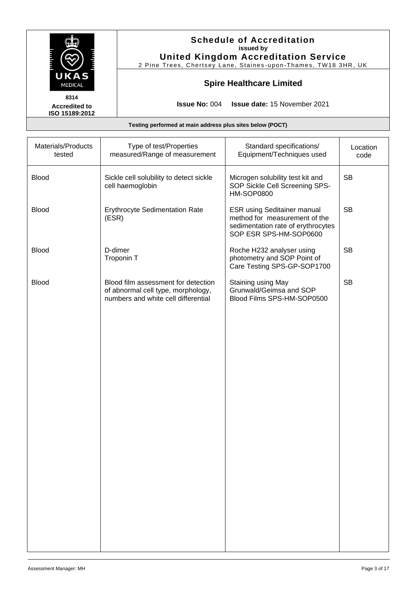|                                                           | <b>Schedule of Accreditation</b><br>issued by<br><b>United Kingdom Accreditation Service</b><br>2 Pine Trees, Chertsey Lane, Staines-upon-Thames, TW18 3HR, UK |  |  |
|-----------------------------------------------------------|----------------------------------------------------------------------------------------------------------------------------------------------------------------|--|--|
| UKAS<br><b>MEDICAL</b>                                    | <b>Spire Healthcare Limited</b>                                                                                                                                |  |  |
| 8314<br><b>Accredited to</b><br>ISO 15189:2012            | <b>Issue No: 004 Issue date: 15 November 2021</b>                                                                                                              |  |  |
| Testing performed at main address plus sites below (POCT) |                                                                                                                                                                |  |  |

| Materials/Products<br>tested | Type of test/Properties<br>measured/Range of measurement                                                         | Standard specifications/<br>Equipment/Techniques used                                                                               | Location<br>code |
|------------------------------|------------------------------------------------------------------------------------------------------------------|-------------------------------------------------------------------------------------------------------------------------------------|------------------|
| <b>Blood</b>                 | Sickle cell solubility to detect sickle<br>cell haemoglobin                                                      | Microgen solubility test kit and<br>SOP Sickle Cell Screening SPS-<br><b>HM-SOP0800</b>                                             | <b>SB</b>        |
| <b>Blood</b>                 | <b>Erythrocyte Sedimentation Rate</b><br>(ESR)                                                                   | <b>ESR using Seditainer manual</b><br>method for measurement of the<br>sedimentation rate of erythrocytes<br>SOP ESR SPS-HM-SOP0600 | <b>SB</b>        |
| <b>Blood</b>                 | D-dimer<br>Troponin T                                                                                            | Roche H232 analyser using<br>photometry and SOP Point of<br>Care Testing SPS-GP-SOP1700                                             | <b>SB</b>        |
| <b>Blood</b>                 | Blood film assessment for detection<br>of abnormal cell type, morphology,<br>numbers and white cell differential | Staining using May<br>Grunwald/Geimsa and SOP<br>Blood Films SPS-HM-SOP0500                                                         | <b>SB</b>        |
|                              |                                                                                                                  |                                                                                                                                     |                  |
|                              |                                                                                                                  |                                                                                                                                     |                  |
|                              |                                                                                                                  |                                                                                                                                     |                  |
|                              |                                                                                                                  |                                                                                                                                     |                  |
|                              |                                                                                                                  |                                                                                                                                     |                  |
|                              |                                                                                                                  |                                                                                                                                     |                  |
|                              |                                                                                                                  |                                                                                                                                     |                  |
|                              |                                                                                                                  |                                                                                                                                     |                  |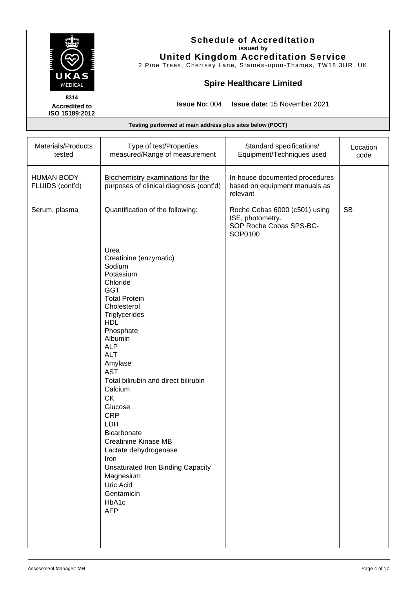|                                        |                                                                            | <b>Schedule of Accreditation</b><br>issued by<br><b>United Kingdom Accreditation Service</b><br>2 Pine Trees, Chertsey Lane, Staines-upon-Thames, TW18 3HR, UK |                                                                                         |                  |  |
|----------------------------------------|----------------------------------------------------------------------------|----------------------------------------------------------------------------------------------------------------------------------------------------------------|-----------------------------------------------------------------------------------------|------------------|--|
| UKAS<br><b>MEDICAL</b><br>8314         |                                                                            | <b>Spire Healthcare Limited</b><br><b>Issue No: 004</b><br>Issue date: 15 November 2021                                                                        |                                                                                         |                  |  |
| <b>Accredited to</b><br>ISO 15189:2012 |                                                                            |                                                                                                                                                                |                                                                                         |                  |  |
|                                        |                                                                            | Testing performed at main address plus sites below (POCT)                                                                                                      |                                                                                         |                  |  |
| Materials/Products<br>tested           |                                                                            | Type of test/Properties<br>measured/Range of measurement                                                                                                       | Standard specifications/<br>Equipment/Techniques used                                   | Location<br>code |  |
| <b>HUMAN BODY</b><br>FLUIDS (cont'd)   |                                                                            | Biochemistry examinations for the<br>purposes of clinical diagnosis (cont'd)                                                                                   | In-house documented procedures<br>based on equipment manuals as<br>relevant             |                  |  |
| Serum, plasma                          |                                                                            | Quantification of the following:                                                                                                                               | Roche Cobas 6000 (c501) using<br>ISE, photometry.<br>SOP Roche Cobas SPS-BC-<br>SOP0100 | <b>SB</b>        |  |
|                                        | Urea<br>Sodium<br>GGT<br><b>HDL</b><br>Albumin<br><b>ALP</b><br><b>ALT</b> | Creatinine (enzymatic)<br>Potassium<br>Chloride<br><b>Total Protein</b><br>Cholesterol<br>Triglycerides<br>Phosphate                                           |                                                                                         |                  |  |

Amylase AST

**Calcium** CK Glucose CRP LDH

Bicarbonate

Magnesium Uric Acid **Gentamicin** HbA1c AFP

Iron

Creatinine Kinase MB Lactate dehydrogenase

Total bilirubin and direct bilirubin

Unsaturated Iron Binding Capacity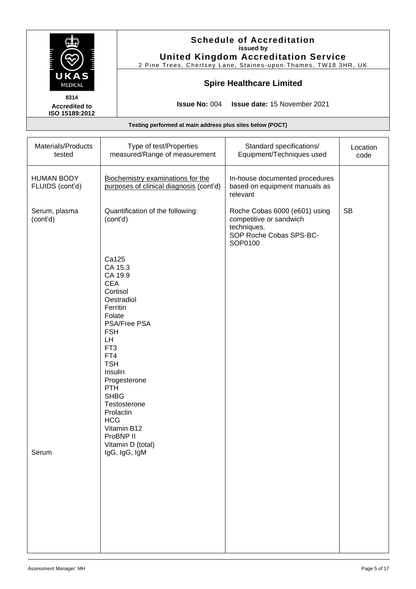| UKAS<br>MEDICAL                                |                                                                                                                                                                                                                                                                                                                                                    |                                                                              | <b>Schedule of Accreditation</b><br>issued by<br><b>United Kingdom Accreditation Service</b><br>2 Pine Trees, Chertsey Lane, Staines-upon-Thames, TW18 3HR, UK |                  |
|------------------------------------------------|----------------------------------------------------------------------------------------------------------------------------------------------------------------------------------------------------------------------------------------------------------------------------------------------------------------------------------------------------|------------------------------------------------------------------------------|----------------------------------------------------------------------------------------------------------------------------------------------------------------|------------------|
|                                                |                                                                                                                                                                                                                                                                                                                                                    |                                                                              | <b>Spire Healthcare Limited</b>                                                                                                                                |                  |
| 8314<br><b>Accredited to</b><br>ISO 15189:2012 |                                                                                                                                                                                                                                                                                                                                                    | <b>Issue No: 004</b>                                                         | Issue date: 15 November 2021                                                                                                                                   |                  |
|                                                |                                                                                                                                                                                                                                                                                                                                                    | Testing performed at main address plus sites below (POCT)                    |                                                                                                                                                                |                  |
| Materials/Products<br>tested                   |                                                                                                                                                                                                                                                                                                                                                    | Type of test/Properties<br>measured/Range of measurement                     | Standard specifications/<br>Equipment/Techniques used                                                                                                          | Location<br>code |
| <b>HUMAN BODY</b><br>FLUIDS (cont'd)           |                                                                                                                                                                                                                                                                                                                                                    | Biochemistry examinations for the<br>purposes of clinical diagnosis (cont'd) | In-house documented procedures<br>based on equipment manuals as<br>relevant                                                                                    |                  |
| Serum, plasma<br>(cont'd)                      | Quantification of the following:<br>(cont'd)                                                                                                                                                                                                                                                                                                       |                                                                              | Roche Cobas 6000 (e601) using<br>competitive or sandwich<br>techniques.<br>SOP Roche Cobas SPS-BC-<br>SOP0100                                                  | <b>SB</b>        |
| Serum                                          | Ca125<br>CA 15.3<br>CA 19.9<br><b>CEA</b><br>Cortisol<br>Oestradiol<br>Ferritin<br>Folate<br><b>PSA/Free PSA</b><br><b>FSH</b><br>LH.<br>FT <sub>3</sub><br>FT4<br><b>TSH</b><br>Insulin<br>Progesterone<br><b>PTH</b><br><b>SHBG</b><br>Testosterone<br>Prolactin<br><b>HCG</b><br>Vitamin B12<br>ProBNP II<br>Vitamin D (total)<br>IgG, IgG, IgM |                                                                              |                                                                                                                                                                |                  |
|                                                |                                                                                                                                                                                                                                                                                                                                                    |                                                                              |                                                                                                                                                                |                  |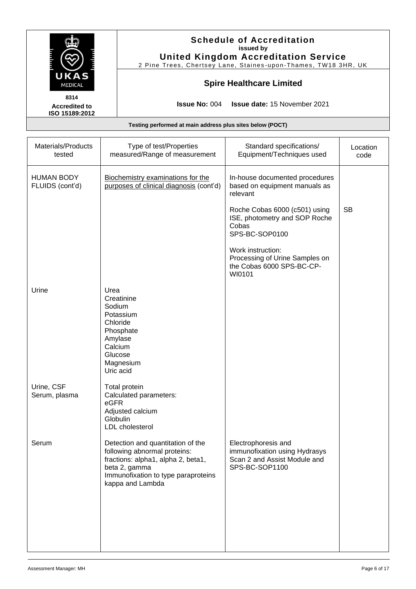| UKAS<br>MEDICAL                                |                | <b>Schedule of Accreditation</b><br>issued by<br><b>United Kingdom Accreditation Service</b><br>2 Pine Trees, Chertsey Lane, Staines-upon-Thames, TW18 3HR, UK                      |                                                                                                        |                  |
|------------------------------------------------|----------------|-------------------------------------------------------------------------------------------------------------------------------------------------------------------------------------|--------------------------------------------------------------------------------------------------------|------------------|
|                                                |                |                                                                                                                                                                                     | <b>Spire Healthcare Limited</b>                                                                        |                  |
| 8314<br><b>Accredited to</b><br>ISO 15189:2012 |                | <b>Issue No: 004</b>                                                                                                                                                                | <b>Issue date: 15 November 2021</b>                                                                    |                  |
|                                                |                | Testing performed at main address plus sites below (POCT)                                                                                                                           |                                                                                                        |                  |
| Materials/Products<br>tested                   |                | Type of test/Properties<br>measured/Range of measurement                                                                                                                            | Standard specifications/<br>Equipment/Techniques used                                                  | Location<br>code |
| <b>HUMAN BODY</b><br>FLUIDS (cont'd)           |                | Biochemistry examinations for the<br>purposes of clinical diagnosis (cont'd)                                                                                                        | In-house documented procedures<br>based on equipment manuals as<br>relevant                            |                  |
|                                                |                |                                                                                                                                                                                     | Roche Cobas 6000 (c501) using<br>ISE, photometry and SOP Roche<br>Cobas<br>SPS-BC-SOP0100              | <b>SB</b>        |
|                                                |                |                                                                                                                                                                                     | Work instruction:<br>Processing of Urine Samples on<br>the Cobas 6000 SPS-BC-CP-<br>WI0101             |                  |
| Urine                                          | Urea<br>Sodium | Creatinine<br>Potassium<br>Chloride<br>Phosphate<br>Amylase<br>Calcium<br>Glucose<br>Magnesium<br>Uric acid                                                                         |                                                                                                        |                  |
| Urine, CSF<br>Serum, plasma                    | eGFR           | Total protein<br>Calculated parameters:<br>Adjusted calcium<br>Globulin<br>LDL cholesterol                                                                                          |                                                                                                        |                  |
| Serum                                          |                | Detection and quantitation of the<br>following abnormal proteins:<br>fractions: alpha1, alpha 2, beta1,<br>beta 2, gamma<br>Immunofixation to type paraproteins<br>kappa and Lambda | Electrophoresis and<br>immunofixation using Hydrasys<br>Scan 2 and Assist Module and<br>SPS-BC-SOP1100 |                  |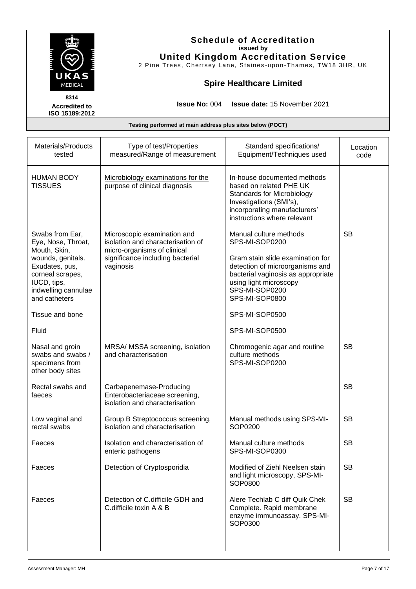|                                                                                                                                                                                            |                                                                                                                                                  | <b>Schedule of Accreditation</b><br>issued by<br><b>United Kingdom Accreditation Service</b><br>2 Pine Trees, Chertsey Lane, Staines-upon-Thames, TW18 3HR, UK                                                                        |                  |
|--------------------------------------------------------------------------------------------------------------------------------------------------------------------------------------------|--------------------------------------------------------------------------------------------------------------------------------------------------|---------------------------------------------------------------------------------------------------------------------------------------------------------------------------------------------------------------------------------------|------------------|
| UKAS<br><b>MEDICAL</b>                                                                                                                                                                     |                                                                                                                                                  | <b>Spire Healthcare Limited</b>                                                                                                                                                                                                       |                  |
| 8314<br><b>Accredited to</b><br>ISO 15189:2012                                                                                                                                             | <b>Issue No: 004</b>                                                                                                                             | <b>Issue date: 15 November 2021</b>                                                                                                                                                                                                   |                  |
|                                                                                                                                                                                            | Testing performed at main address plus sites below (POCT)                                                                                        |                                                                                                                                                                                                                                       |                  |
| Materials/Products<br>tested                                                                                                                                                               | Type of test/Properties<br>measured/Range of measurement                                                                                         | Standard specifications/<br>Equipment/Techniques used                                                                                                                                                                                 | Location<br>code |
| <b>HUMAN BODY</b><br><b>TISSUES</b>                                                                                                                                                        | Microbiology examinations for the<br>purpose of clinical diagnosis                                                                               | In-house documented methods<br>based on related PHE UK<br><b>Standards for Microbiology</b><br>Investigations (SMI's),<br>incorporating manufacturers'<br>instructions where relevant                                                 |                  |
| Swabs from Ear,<br>Eye, Nose, Throat,<br>Mouth, Skin,<br>wounds, genitals.<br>Exudates, pus,<br>corneal scrapes,<br>IUCD, tips,<br>indwelling cannulae<br>and catheters<br>Tissue and bone | Microscopic examination and<br>isolation and characterisation of<br>micro-organisms of clinical<br>significance including bacterial<br>vaginosis | Manual culture methods<br>SPS-MI-SOP0200<br>Gram stain slide examination for<br>detection of microorganisms and<br>bacterial vaginosis as appropriate<br>using light microscopy<br>SPS-MI-SOP0200<br>SPS-MI-SOP0800<br>SPS-MI-SOP0500 | <b>SB</b>        |
| Fluid<br>Nasal and groin<br>swabs and swabs /<br>specimens from<br>other body sites                                                                                                        | MRSA/ MSSA screening, isolation<br>and characterisation                                                                                          | SPS-MI-SOP0500<br>Chromogenic agar and routine<br>culture methods<br>SPS-MI-SOP0200                                                                                                                                                   | <b>SB</b>        |
| Rectal swabs and<br>faeces                                                                                                                                                                 | Carbapenemase-Producing<br>Enterobacteriaceae screening,<br>isolation and characterisation                                                       |                                                                                                                                                                                                                                       | <b>SB</b>        |
| Low vaginal and<br>rectal swabs                                                                                                                                                            | Group B Streptococcus screening,<br>isolation and characterisation                                                                               | Manual methods using SPS-MI-<br>SOP0200                                                                                                                                                                                               | <b>SB</b>        |
| Faeces                                                                                                                                                                                     | Isolation and characterisation of<br>enteric pathogens                                                                                           | Manual culture methods<br>SPS-MI-SOP0300                                                                                                                                                                                              | <b>SB</b>        |
| Faeces                                                                                                                                                                                     | Detection of Cryptosporidia                                                                                                                      | Modified of Ziehl Neelsen stain<br>and light microscopy, SPS-MI-<br>SOP0800                                                                                                                                                           | <b>SB</b>        |
| Faeces                                                                                                                                                                                     | Detection of C.difficile GDH and<br>C.difficile toxin A & B                                                                                      | Alere Techlab C diff Quik Chek<br>Complete. Rapid membrane<br>enzyme immunoassay. SPS-MI-<br>SOP0300                                                                                                                                  | <b>SB</b>        |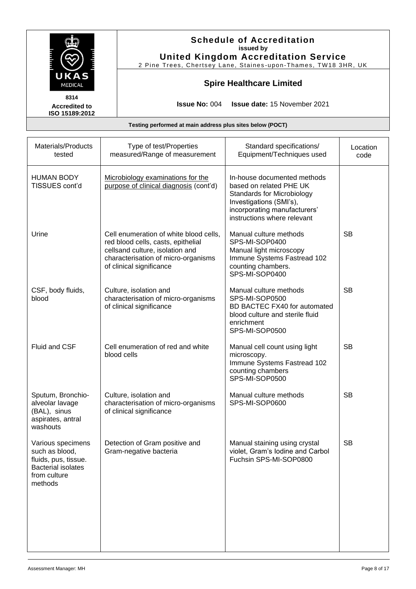|                                                |  |                                                                             | <b>Schedule of Accreditation</b><br>issued by<br><b>United Kingdom Accreditation Service</b><br>2 Pine Trees, Chertsey Lane, Staines-upon-Thames, TW18 3HR, UK |                  |
|------------------------------------------------|--|-----------------------------------------------------------------------------|----------------------------------------------------------------------------------------------------------------------------------------------------------------|------------------|
| UKAS<br><b>MEDICAL</b>                         |  | <b>Spire Healthcare Limited</b>                                             |                                                                                                                                                                |                  |
| 8314<br><b>Accredited to</b><br>ISO 15189:2012 |  |                                                                             | <b>Issue No: 004 Issue date: 15 November 2021</b>                                                                                                              |                  |
|                                                |  | Testing performed at main address plus sites below (POCT)                   |                                                                                                                                                                |                  |
| Materials/Products<br>tested                   |  | Type of test/Properties<br>measured/Range of measurement                    | Standard specifications/<br>Equipment/Techniques used                                                                                                          | Location<br>code |
| <b>HUMAN BODY</b><br>TISSUES cont'd            |  | Microbiology examinations for the<br>purpose of clinical diagnosis (cont'd) | In-house documented methods<br>based on related PHE UK<br>Ctondordo for Miorobiologu                                                                           |                  |

| TISSUES cont'd                                                                                                      | purpose of clinical diagnosis (cont'd)                                                                                                                                             | based on related PHE UK<br><b>Standards for Microbiology</b><br>Investigations (SMI's),<br>incorporating manufacturers'<br>instructions where relevant |           |
|---------------------------------------------------------------------------------------------------------------------|------------------------------------------------------------------------------------------------------------------------------------------------------------------------------------|--------------------------------------------------------------------------------------------------------------------------------------------------------|-----------|
| Urine                                                                                                               | Cell enumeration of white blood cells,<br>red blood cells, casts, epithelial<br>cellsand culture, isolation and<br>characterisation of micro-organisms<br>of clinical significance | Manual culture methods<br>SPS-MI-SOP0400<br>Manual light microscopy<br>Immune Systems Fastread 102<br>counting chambers.<br>SPS-MI-SOP0400             | <b>SB</b> |
| CSF, body fluids,<br>blood                                                                                          | Culture, isolation and<br>characterisation of micro-organisms<br>of clinical significance                                                                                          | Manual culture methods<br>SPS-MI-SOP0500<br>BD BACTEC FX40 for automated<br>blood culture and sterile fluid<br>enrichment<br>SPS-MI-SOP0500            | <b>SB</b> |
| Fluid and CSF                                                                                                       | Cell enumeration of red and white<br>blood cells                                                                                                                                   | Manual cell count using light<br>microscopy.<br>Immune Systems Fastread 102<br>counting chambers<br>SPS-MI-SOP0500                                     | <b>SB</b> |
| Sputum, Bronchio-<br>alveolar lavage<br>(BAL), sinus<br>aspirates, antral<br>washouts                               | Culture, isolation and<br>characterisation of micro-organisms<br>of clinical significance                                                                                          | Manual culture methods<br>SPS-MI-SOP0600                                                                                                               | <b>SB</b> |
| Various specimens<br>such as blood,<br>fluids, pus, tissue.<br><b>Bacterial isolates</b><br>from culture<br>methods | Detection of Gram positive and<br>Gram-negative bacteria                                                                                                                           | Manual staining using crystal<br>violet, Gram's lodine and Carbol<br>Fuchsin SPS-MI-SOP0800                                                            | <b>SB</b> |
|                                                                                                                     |                                                                                                                                                                                    |                                                                                                                                                        |           |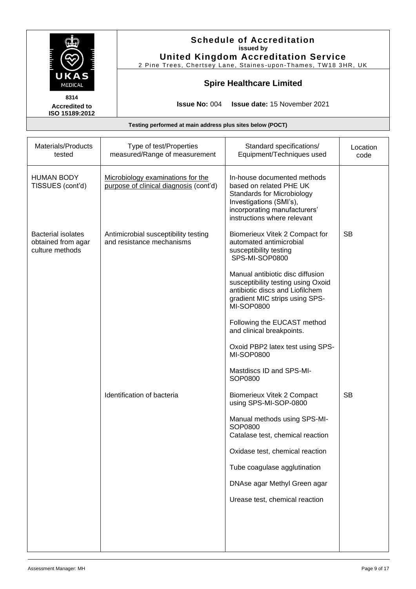| UKAS<br><b>MEDICAL</b>                                             |  | <b>Schedule of Accreditation</b><br>issued by<br><b>United Kingdom Accreditation Service</b><br>2 Pine Trees, Chertsey Lane, Staines-upon-Thames, TW18 3HR, UK<br><b>Spire Healthcare Limited</b> |                                                                                                                                                                                                                                                                                                                                                                                                                                       |                  |  |
|--------------------------------------------------------------------|--|---------------------------------------------------------------------------------------------------------------------------------------------------------------------------------------------------|---------------------------------------------------------------------------------------------------------------------------------------------------------------------------------------------------------------------------------------------------------------------------------------------------------------------------------------------------------------------------------------------------------------------------------------|------------------|--|
|                                                                    |  |                                                                                                                                                                                                   |                                                                                                                                                                                                                                                                                                                                                                                                                                       |                  |  |
|                                                                    |  | Testing performed at main address plus sites below (POCT)                                                                                                                                         |                                                                                                                                                                                                                                                                                                                                                                                                                                       |                  |  |
| Materials/Products<br>tested                                       |  | Type of test/Properties<br>measured/Range of measurement                                                                                                                                          | Standard specifications/<br>Equipment/Techniques used                                                                                                                                                                                                                                                                                                                                                                                 | Location<br>code |  |
| <b>HUMAN BODY</b><br>TISSUES (cont'd)                              |  | Microbiology examinations for the<br>purpose of clinical diagnosis (cont'd)                                                                                                                       | In-house documented methods<br>based on related PHE UK<br><b>Standards for Microbiology</b><br>Investigations (SMI's),<br>incorporating manufacturers'<br>instructions where relevant                                                                                                                                                                                                                                                 |                  |  |
| <b>Bacterial isolates</b><br>obtained from agar<br>culture methods |  | Antimicrobial susceptibility testing<br>and resistance mechanisms                                                                                                                                 | Biomerieux Vitek 2 Compact for<br>automated antimicrobial<br>susceptibility testing<br>SPS-MI-SOP0800<br>Manual antibiotic disc diffusion<br>susceptibility testing using Oxoid<br>antibiotic discs and Liofilchem<br>gradient MIC strips using SPS-<br><b>MI-SOP0800</b><br>Following the EUCAST method<br>and clinical breakpoints.<br>Oxoid PBP2 latex test using SPS-<br><b>MI-SOP0800</b><br>Mastdiscs ID and SPS-MI-<br>SOP0800 | <b>SB</b>        |  |
|                                                                    |  | Identification of bacteria                                                                                                                                                                        | <b>Biomerieux Vitek 2 Compact</b><br>using SPS-MI-SOP-0800<br>Manual methods using SPS-MI-<br>SOP0800<br>Catalase test, chemical reaction<br>Oxidase test, chemical reaction<br>Tube coagulase agglutination<br>DNAse agar Methyl Green agar<br>Urease test, chemical reaction                                                                                                                                                        | <b>SB</b>        |  |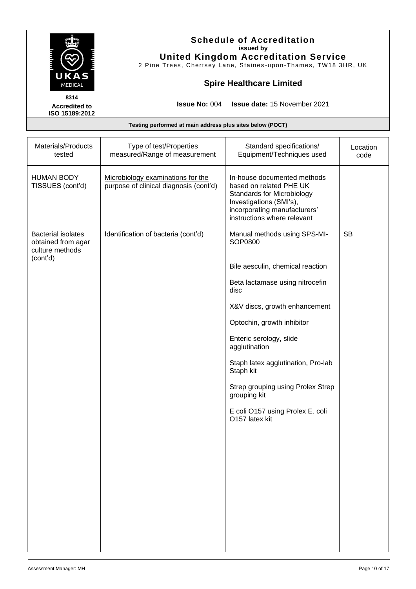|                                                                                |                                                                             | <b>Schedule of Accreditation</b><br>issued by<br><b>United Kingdom Accreditation Service</b><br>2 Pine Trees, Chertsey Lane, Staines-upon-Thames, TW18 3HR, UK                        |                  |  |  |  |
|--------------------------------------------------------------------------------|-----------------------------------------------------------------------------|---------------------------------------------------------------------------------------------------------------------------------------------------------------------------------------|------------------|--|--|--|
| UKAS<br>MEDICAL                                                                |                                                                             | <b>Spire Healthcare Limited</b>                                                                                                                                                       |                  |  |  |  |
| 8314<br><b>Accredited to</b><br>ISO 15189:2012                                 |                                                                             | Issue date: 15 November 2021<br><b>Issue No: 004</b>                                                                                                                                  |                  |  |  |  |
|                                                                                | Testing performed at main address plus sites below (POCT)                   |                                                                                                                                                                                       |                  |  |  |  |
| Materials/Products<br>tested                                                   | Type of test/Properties<br>measured/Range of measurement                    | Standard specifications/<br>Equipment/Techniques used                                                                                                                                 | Location<br>code |  |  |  |
| <b>HUMAN BODY</b><br>TISSUES (cont'd)                                          | Microbiology examinations for the<br>purpose of clinical diagnosis (cont'd) | In-house documented methods<br>based on related PHE UK<br><b>Standards for Microbiology</b><br>Investigations (SMI's),<br>incorporating manufacturers'<br>instructions where relevant |                  |  |  |  |
| <b>Bacterial isolates</b><br>obtained from agar<br>culture methods<br>(cont'd) | Identification of bacteria (cont'd)                                         | Manual methods using SPS-MI-<br>SOP0800<br>Bile aesculin, chemical reaction                                                                                                           | <b>SB</b>        |  |  |  |
|                                                                                |                                                                             | Beta lactamase using nitrocefin<br>disc                                                                                                                                               |                  |  |  |  |
|                                                                                |                                                                             | X&V discs, growth enhancement                                                                                                                                                         |                  |  |  |  |
|                                                                                |                                                                             | Optochin, growth inhibitor<br>Enteric serology, slide                                                                                                                                 |                  |  |  |  |
|                                                                                |                                                                             | agglutination<br>Staph latex agglutination, Pro-lab<br>Staph kit                                                                                                                      |                  |  |  |  |
|                                                                                |                                                                             | Strep grouping using Prolex Strep<br>grouping kit                                                                                                                                     |                  |  |  |  |
|                                                                                |                                                                             | E coli O157 using Prolex E. coli<br>O157 latex kit                                                                                                                                    |                  |  |  |  |
|                                                                                |                                                                             |                                                                                                                                                                                       |                  |  |  |  |
|                                                                                |                                                                             |                                                                                                                                                                                       |                  |  |  |  |
|                                                                                |                                                                             |                                                                                                                                                                                       |                  |  |  |  |
|                                                                                |                                                                             |                                                                                                                                                                                       |                  |  |  |  |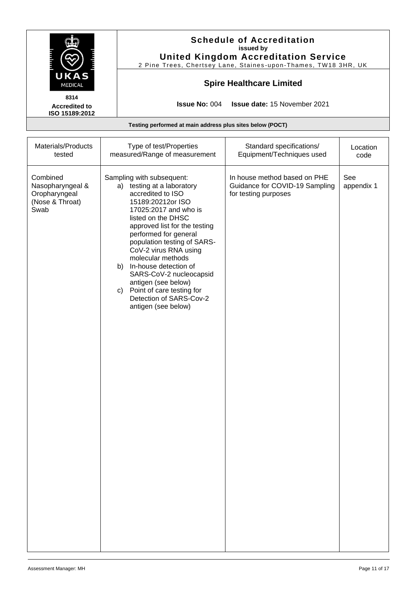|                                                                          |                                                                                                                                                                                                                                                                                                                                                                                                                                                         | <b>Schedule of Accreditation</b><br>issued by<br><b>United Kingdom Accreditation Service</b><br>2 Pine Trees, Chertsey Lane, Staines-upon-Thames, TW18 3HR, UK |                   |  |  |  |
|--------------------------------------------------------------------------|---------------------------------------------------------------------------------------------------------------------------------------------------------------------------------------------------------------------------------------------------------------------------------------------------------------------------------------------------------------------------------------------------------------------------------------------------------|----------------------------------------------------------------------------------------------------------------------------------------------------------------|-------------------|--|--|--|
| UKAS<br>MEDICAL                                                          |                                                                                                                                                                                                                                                                                                                                                                                                                                                         | <b>Spire Healthcare Limited</b>                                                                                                                                |                   |  |  |  |
| 8314<br><b>Accredited to</b><br>ISO 15189:2012                           | <b>Issue No: 004</b>                                                                                                                                                                                                                                                                                                                                                                                                                                    | Issue date: 15 November 2021                                                                                                                                   |                   |  |  |  |
|                                                                          | Testing performed at main address plus sites below (POCT)                                                                                                                                                                                                                                                                                                                                                                                               |                                                                                                                                                                |                   |  |  |  |
| Materials/Products<br>tested                                             | Type of test/Properties<br>measured/Range of measurement                                                                                                                                                                                                                                                                                                                                                                                                | Standard specifications/<br>Equipment/Techniques used                                                                                                          | Location<br>code  |  |  |  |
| Combined<br>Nasopharyngeal &<br>Oropharyngeal<br>(Nose & Throat)<br>Swab | Sampling with subsequent:<br>a) testing at a laboratory<br>accredited to ISO<br>15189:20212or ISO<br>17025:2017 and who is<br>listed on the DHSC<br>approved list for the testing<br>performed for general<br>population testing of SARS-<br>CoV-2 virus RNA using<br>molecular methods<br>b) In-house detection of<br>SARS-CoV-2 nucleocapsid<br>antigen (see below)<br>c) Point of care testing for<br>Detection of SARS-Cov-2<br>antigen (see below) | In house method based on PHE<br>Guidance for COVID-19 Sampling<br>for testing purposes                                                                         | See<br>appendix 1 |  |  |  |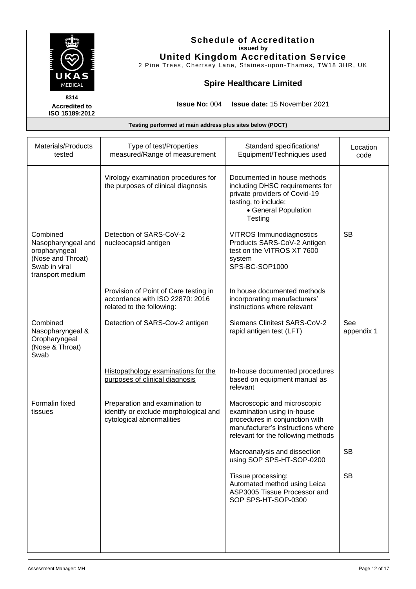|                                                                      |                                                                           | <b>Schedule of Accreditation</b><br>issued by<br><b>United Kingdom Accreditation Service</b><br>2 Pine Trees, Chertsey Lane, Staines-upon-Thames, TW18 3HR, UK |                  |  |  |
|----------------------------------------------------------------------|---------------------------------------------------------------------------|----------------------------------------------------------------------------------------------------------------------------------------------------------------|------------------|--|--|
| UKAS<br><b>Spire Healthcare Limited</b><br><b>MEDICAL</b><br>8314    |                                                                           |                                                                                                                                                                |                  |  |  |
| <b>Accredited to</b><br>ISO 15189:2012                               | <b>Issue No: 004</b>                                                      | <b>Issue date: 15 November 2021</b>                                                                                                                            |                  |  |  |
| Testing performed at main address plus sites below (POCT)            |                                                                           |                                                                                                                                                                |                  |  |  |
| Materials/Products<br>tested                                         | Type of test/Properties<br>measured/Range of measurement                  | Standard specifications/<br>Equipment/Techniques used                                                                                                          | Location<br>code |  |  |
|                                                                      | Virology examination procedures for<br>the purposes of clinical diagnosis | Documented in house methods<br>including DHSC requirements for<br>private providers of Covid-19<br>testing, to include:<br>• General Population<br>Testing     |                  |  |  |
| Combined<br>Nasopharyngeal and<br>oropharyngeal<br>(Nose and Throat) | Detection of SARS-CoV-2<br>nucleocapsid antigen                           | <b>VITROS Immunodiagnostics</b><br>Products SARS-CoV-2 Antigen<br>test on the VITROS XT 7600<br>system<br>000 DO 0001000                                       | <b>SB</b>        |  |  |

| Materials/Products<br>tested                                                                              | Type of test/Properties<br>measured/Range of measurement                                              | Standard specifications/<br>Equipment/Techniques used                                                                                                                  | Location<br>code  |
|-----------------------------------------------------------------------------------------------------------|-------------------------------------------------------------------------------------------------------|------------------------------------------------------------------------------------------------------------------------------------------------------------------------|-------------------|
|                                                                                                           | Virology examination procedures for<br>the purposes of clinical diagnosis                             | Documented in house methods<br>including DHSC requirements for<br>private providers of Covid-19<br>testing, to include:<br>• General Population<br>Testing             |                   |
| Combined<br>Nasopharyngeal and<br>oropharyngeal<br>(Nose and Throat)<br>Swab in viral<br>transport medium | Detection of SARS-CoV-2<br>nucleocapsid antigen                                                       | <b>VITROS Immunodiagnostics</b><br>Products SARS-CoV-2 Antigen<br>test on the VITROS XT 7600<br>system<br>SPS-BC-SOP1000                                               | <b>SB</b>         |
|                                                                                                           | Provision of Point of Care testing in<br>accordance with ISO 22870: 2016<br>related to the following: | In house documented methods<br>incorporating manufacturers'<br>instructions where relevant                                                                             |                   |
| Combined<br>Nasopharyngeal &<br>Oropharyngeal<br>(Nose & Throat)<br>Swab                                  | Detection of SARS-Cov-2 antigen                                                                       | Siemens Clinitest SARS-CoV-2<br>rapid antigen test (LFT)                                                                                                               | See<br>appendix 1 |
|                                                                                                           | Histopathology examinations for the<br>purposes of clinical diagnosis                                 | In-house documented procedures<br>based on equipment manual as<br>relevant                                                                                             |                   |
| Formalin fixed<br>tissues                                                                                 | Preparation and examination to<br>identify or exclude morphological and<br>cytological abnormalities  | Macroscopic and microscopic<br>examination using in-house<br>procedures in conjunction with<br>manufacturer's instructions where<br>relevant for the following methods |                   |
|                                                                                                           |                                                                                                       | Macroanalysis and dissection<br>using SOP SPS-HT-SOP-0200                                                                                                              | <b>SB</b>         |
|                                                                                                           |                                                                                                       | Tissue processing:<br>Automated method using Leica<br>ASP3005 Tissue Processor and<br>SOP SPS-HT-SOP-0300                                                              | <b>SB</b>         |
|                                                                                                           |                                                                                                       |                                                                                                                                                                        |                   |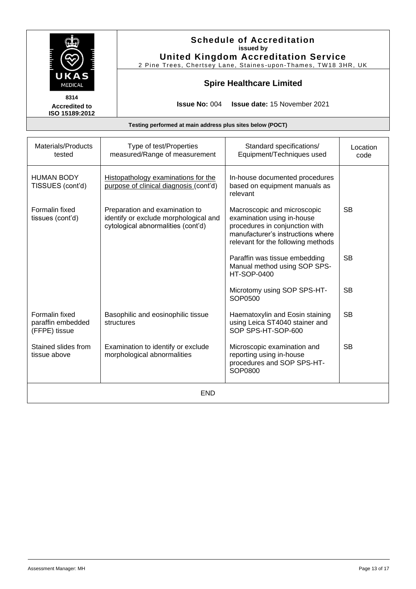| UKA<br>MEDICAL<br>8314<br><b>Accredited to</b><br>ISO 15189:2012 |                                                                                                               | <b>Issue No: 004</b>                                              | <b>Schedule of Accreditation</b><br>issued by<br><b>United Kingdom Accreditation Service</b><br>2 Pine Trees, Chertsey Lane, Staines-upon-Thames, TW18 3HR, UK<br><b>Spire Healthcare Limited</b><br><b>Issue date: 15 November 2021</b> |                  |
|------------------------------------------------------------------|---------------------------------------------------------------------------------------------------------------|-------------------------------------------------------------------|------------------------------------------------------------------------------------------------------------------------------------------------------------------------------------------------------------------------------------------|------------------|
|                                                                  |                                                                                                               | Testing performed at main address plus sites below (POCT)         |                                                                                                                                                                                                                                          |                  |
| Materials/Products<br>tested                                     |                                                                                                               | Type of test/Properties<br>measured/Range of measurement          | Standard specifications/<br>Equipment/Techniques used                                                                                                                                                                                    | Location<br>code |
| HUMAN BODY<br>TISSUES (cont'd)                                   | Histopathology examinations for the<br>purpose of clinical diagnosis (cont'd)                                 |                                                                   | In-house documented procedures<br>based on equipment manuals as<br>relevant                                                                                                                                                              |                  |
| Formalin fixed<br>tissues (cont'd)                               | Preparation and examination to<br>identify or exclude morphological and<br>cytological abnormalities (cont'd) |                                                                   | Macroscopic and microscopic<br>examination using in-house<br>procedures in conjunction with<br>manufacturer's instructions where<br>relevant for the following methods                                                                   | <b>SB</b>        |
|                                                                  |                                                                                                               |                                                                   | Paraffin was tissue embedding<br>Manual method using SOP SPS-<br><b>HT-SOP-0400</b>                                                                                                                                                      | <b>SB</b>        |
|                                                                  |                                                                                                               |                                                                   | Microtomy using SOP SPS-HT-<br>SOP0500                                                                                                                                                                                                   | <b>SB</b>        |
| Formalin fixed<br>paraffin embedded<br>(FFPE) tissue             |                                                                                                               | Basophilic and eosinophilic tissue<br>structures                  | Haematoxylin and Eosin staining<br>using Leica ST4040 stainer and<br>SOP SPS-HT-SOP-600                                                                                                                                                  | <b>SB</b>        |
| Stained slides from<br>tissue above                              |                                                                                                               | Examination to identify or exclude<br>morphological abnormalities | Microscopic examination and<br>reporting using in-house<br>procedures and SOP SPS-HT-<br>SOP0800                                                                                                                                         | <b>SB</b>        |

END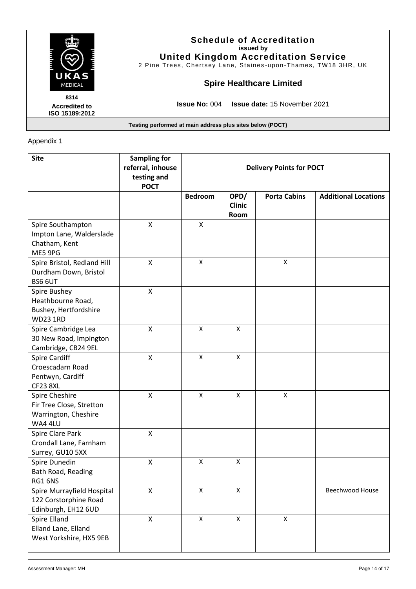|                                                | <b>Schedule of Accreditation</b><br>issued by<br><b>United Kingdom Accreditation Service</b><br>2 Pine Trees, Chertsey Lane, Staines-upon-Thames, TW18 3HR, UK |
|------------------------------------------------|----------------------------------------------------------------------------------------------------------------------------------------------------------------|
| UKAS<br><b>MEDICAL</b>                         | <b>Spire Healthcare Limited</b>                                                                                                                                |
| 8314<br><b>Accredited to</b><br>ISO 15189:2012 | <b>Issue No: 004</b><br><b>Issue date: 15 November 2021</b>                                                                                                    |

## Appendix 1

| <b>Site</b>                                                                     | <b>Sampling for</b><br>referral, inhouse<br>testing and<br><b>POCT</b> | <b>Delivery Points for POCT</b> |                               |                     |                             |
|---------------------------------------------------------------------------------|------------------------------------------------------------------------|---------------------------------|-------------------------------|---------------------|-----------------------------|
|                                                                                 |                                                                        | <b>Bedroom</b>                  | OPD/<br><b>Clinic</b><br>Room | <b>Porta Cabins</b> | <b>Additional Locations</b> |
| Spire Southampton<br>Impton Lane, Walderslade<br>Chatham, Kent<br>ME5 9PG       | X                                                                      | $\mathsf{x}$                    |                               |                     |                             |
| Spire Bristol, Redland Hill<br>Durdham Down, Bristol<br>BS6 6UT                 | X                                                                      | $\mathsf{x}$                    |                               | X                   |                             |
| Spire Bushey<br>Heathbourne Road,<br>Bushey, Hertfordshire<br><b>WD23 1RD</b>   | $\pmb{\mathsf{X}}$                                                     |                                 |                               |                     |                             |
| Spire Cambridge Lea<br>30 New Road, Impington<br>Cambridge, CB24 9EL            | $\pmb{\mathsf{X}}$                                                     | $\pmb{\times}$                  | X                             |                     |                             |
| <b>Spire Cardiff</b><br>Croescadarn Road<br>Pentwyn, Cardiff<br><b>CF23 8XL</b> | $\mathsf{X}$                                                           | $\pmb{\times}$                  | $\pmb{\mathsf{X}}$            |                     |                             |
| Spire Cheshire<br>Fir Tree Close, Stretton<br>Warrington, Cheshire<br>WA4 4LU   | $\pmb{\mathsf{X}}$                                                     | $\pmb{\times}$                  | $\mathsf{x}$                  | $\mathsf X$         |                             |
| Spire Clare Park<br>Crondall Lane, Farnham<br>Surrey, GU10 5XX                  | $\mathsf{\overline{X}}$                                                |                                 |                               |                     |                             |
| Spire Dunedin<br>Bath Road, Reading<br>RG1 6NS                                  | $\pmb{\mathsf{X}}$                                                     | X                               | X                             |                     |                             |
| Spire Murrayfield Hospital<br>122 Corstorphine Road<br>Edinburgh, EH12 6UD      | X                                                                      | X                               | X                             |                     | Beechwood House             |
| Spire Elland<br>Elland Lane, Elland<br>West Yorkshire, HX5 9EB                  | $\pmb{\mathsf{X}}$                                                     | X                               | $\mathsf{x}$                  | $\mathsf X$         |                             |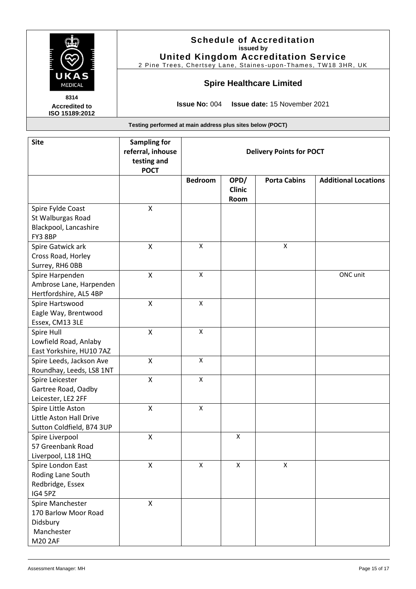|                                                |                                                                        | <b>Schedule of Accreditation</b><br>issued by<br><b>United Kingdom Accreditation Service</b><br>2 Pine Trees, Chertsey Lane, Staines-upon-Thames, TW18 3HR, UK |
|------------------------------------------------|------------------------------------------------------------------------|----------------------------------------------------------------------------------------------------------------------------------------------------------------|
| UKAS<br><b>MEDICAL</b>                         |                                                                        | <b>Spire Healthcare Limited</b>                                                                                                                                |
| 8314<br><b>Accredited to</b><br>ISO 15189:2012 |                                                                        | <b>Issue No: 004 Issue date: 15 November 2021</b>                                                                                                              |
|                                                |                                                                        | Testing performed at main address plus sites below (POCT)                                                                                                      |
| <b>Site</b>                                    | <b>Sampling for</b><br>referral, inhouse<br>testing and<br><b>POCT</b> | <b>Delivery Points for POCT</b>                                                                                                                                |

|                                                                               | <b>POCT</b>        |                    |                               |                     |                             |
|-------------------------------------------------------------------------------|--------------------|--------------------|-------------------------------|---------------------|-----------------------------|
|                                                                               |                    | <b>Bedroom</b>     | OPD/<br><b>Clinic</b><br>Room | <b>Porta Cabins</b> | <b>Additional Locations</b> |
| Spire Fylde Coast<br>St Walburgas Road<br>Blackpool, Lancashire<br>FY3 8BP    | X                  |                    |                               |                     |                             |
| Spire Gatwick ark<br>Cross Road, Horley<br>Surrey, RH6 OBB                    | X                  | X                  |                               | $\pmb{\mathsf{X}}$  |                             |
| Spire Harpenden<br>Ambrose Lane, Harpenden<br>Hertfordshire, AL5 4BP          | $\mathsf{x}$       | $\pmb{\times}$     |                               |                     | ONC unit                    |
| Spire Hartswood<br>Eagle Way, Brentwood<br>Essex, CM13 3LE                    | $\pmb{\mathsf{X}}$ | X                  |                               |                     |                             |
| Spire Hull<br>Lowfield Road, Anlaby<br>East Yorkshire, HU10 7AZ               | X                  | X                  |                               |                     |                             |
| Spire Leeds, Jackson Ave<br>Roundhay, Leeds, LS8 1NT                          | $\mathsf{X}$       | $\pmb{\times}$     |                               |                     |                             |
| Spire Leicester<br>Gartree Road, Oadby<br>Leicester, LE2 2FF                  | $\mathsf{x}$       | $\pmb{\mathsf{X}}$ |                               |                     |                             |
| Spire Little Aston<br>Little Aston Hall Drive<br>Sutton Coldfield, B74 3UP    | X                  | $\mathsf{x}$       |                               |                     |                             |
| Spire Liverpool<br>57 Greenbank Road<br>Liverpool, L18 1HQ                    | $\pmb{\mathsf{X}}$ |                    | X                             |                     |                             |
| Spire London East<br>Roding Lane South<br>Redbridge, Essex<br>IG4 5PZ         | Χ                  | X                  | X                             | $\pmb{\mathsf{X}}$  |                             |
| Spire Manchester<br>170 Barlow Moor Road<br>Didsbury<br>Manchester<br>M20 2AF | $\pmb{\mathsf{X}}$ |                    |                               |                     |                             |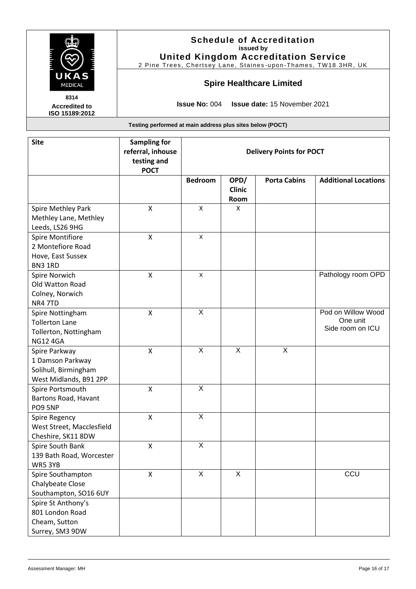|                                                           |                                                   | <b>Schedule of Accreditation</b><br>issued by<br><b>United Kingdom Accreditation Service</b><br>2 Pine Trees, Chertsey Lane, Staines-upon-Thames, TW18 3HR, UK |  |  |
|-----------------------------------------------------------|---------------------------------------------------|----------------------------------------------------------------------------------------------------------------------------------------------------------------|--|--|
| UKAS<br><b>Spire Healthcare Limited</b><br><b>MEDICAL</b> |                                                   |                                                                                                                                                                |  |  |
| 8314<br><b>Accredited to</b><br>ISO 15189:2012            | <b>Issue No: 004 Issue date: 15 November 2021</b> |                                                                                                                                                                |  |  |
| Testing performed at main address plus sites below (POCT) |                                                   |                                                                                                                                                                |  |  |
| <b>Site</b>                                               | <b>Sampling for</b><br>referral inhouse           | <b>Delivery Points for POCT</b>                                                                                                                                |  |  |

|                                                                                       | referral, inhouse<br>testing and<br><b>POCT</b> |                           |                               | <b>Delivery Points for POCT</b> |                                                    |
|---------------------------------------------------------------------------------------|-------------------------------------------------|---------------------------|-------------------------------|---------------------------------|----------------------------------------------------|
|                                                                                       |                                                 | <b>Bedroom</b>            | OPD/<br><b>Clinic</b><br>Room | <b>Porta Cabins</b>             | <b>Additional Locations</b>                        |
| Spire Methley Park<br>Methley Lane, Methley<br>Leeds, LS26 9HG                        | $\pmb{\mathsf{X}}$                              | X                         | X                             |                                 |                                                    |
| Spire Montifiore<br>2 Montefiore Road<br>Hove, East Sussex<br>BN3 1RD                 | Χ                                               | X                         |                               |                                 |                                                    |
| Spire Norwich<br>Old Watton Road<br>Colney, Norwich<br>NR4 7TD                        | X                                               | X                         |                               |                                 | Pathology room OPD                                 |
| Spire Nottingham<br><b>Tollerton Lane</b><br>Tollerton, Nottingham<br><b>NG12 4GA</b> | X                                               | $\overline{X}$            |                               |                                 | Pod on Willow Wood<br>One unit<br>Side room on ICU |
| Spire Parkway<br>1 Damson Parkway<br>Solihull, Birmingham<br>West Midlands, B91 2PP   | X                                               | $\times$                  | $\times$                      | $\boldsymbol{\mathsf{X}}$       |                                                    |
| Spire Portsmouth<br>Bartons Road, Havant<br>PO9 5NP                                   | X                                               | $\overline{X}$            |                               |                                 |                                                    |
| <b>Spire Regency</b><br>West Street, Macclesfield<br>Cheshire, SK11 8DW               | X                                               | X                         |                               |                                 |                                                    |
| Spire South Bank<br>139 Bath Road, Worcester<br>WR5 3YB                               | $\pmb{\mathsf{X}}$                              | $\boldsymbol{\mathsf{X}}$ |                               |                                 |                                                    |
| Spire Southampton<br>Chalybeate Close<br>Southampton, SO16 6UY                        | X                                               | $\overline{X}$            | $\overline{X}$                |                                 | CCU                                                |
| Spire St Anthony's<br>801 London Road<br>Cheam, Sutton<br>Surrey, SM3 9DW             |                                                 |                           |                               |                                 |                                                    |